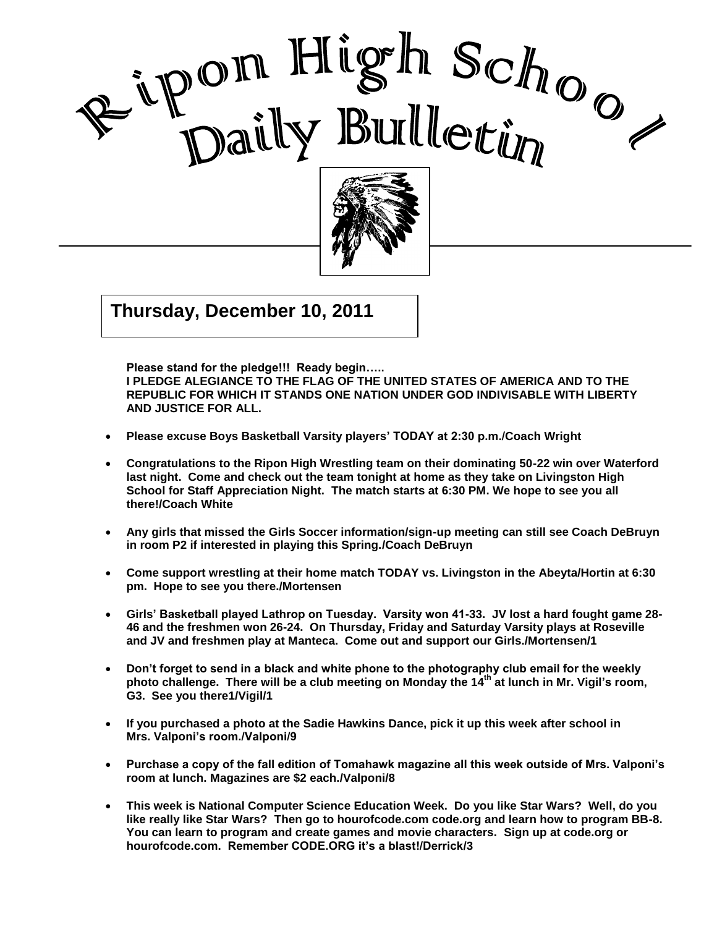



 $\overline{11}$  $\frac{1}{2}$ **Thursday, December 10, 2011**

**Please stand for the pledge!!! Ready begin….. I PLEDGE ALEGIANCE TO THE FLAG OF THE UNITED STATES OF AMERICA AND TO THE REPUBLIC FOR WHICH IT STANDS ONE NATION UNDER GOD INDIVISABLE WITH LIBERTY AND JUSTICE FOR ALL.**

I

- **Please excuse Boys Basketball Varsity players' TODAY at 2:30 p.m./Coach Wright**
- **Congratulations to the Ripon High Wrestling team on their dominating 50-22 win over Waterford last night. Come and check out the team tonight at home as they take on Livingston High School for Staff Appreciation Night. The match starts at 6:30 PM. We hope to see you all there!/Coach White**
- **Any girls that missed the Girls Soccer information/sign-up meeting can still see Coach DeBruyn in room P2 if interested in playing this Spring./Coach DeBruyn**
- **Come support wrestling at their home match TODAY vs. Livingston in the Abeyta/Hortin at 6:30 pm. Hope to see you there./Mortensen**
- **Girls' Basketball played Lathrop on Tuesday. Varsity won 41-33. JV lost a hard fought game 28- 46 and the freshmen won 26-24. On Thursday, Friday and Saturday Varsity plays at Roseville and JV and freshmen play at Manteca. Come out and support our Girls./Mortensen/1**
- **Don't forget to send in a black and white phone to the photography club email for the weekly photo challenge. There will be a club meeting on Monday the 14th at lunch in Mr. Vigil's room, G3. See you there1/Vigil/1**
- **If you purchased a photo at the Sadie Hawkins Dance, pick it up this week after school in Mrs. Valponi's room./Valponi/9**
- **Purchase a copy of the fall edition of Tomahawk magazine all this week outside of Mrs. Valponi's room at lunch. Magazines are \$2 each./Valponi/8**
- **This week is National Computer Science Education Week. Do you like Star Wars? Well, do you like really like Star Wars? Then go to hourofcode.com code.org and learn how to program BB-8. You can learn to program and create games and movie characters. Sign up at code.org or hourofcode.com. Remember CODE.ORG it's a blast!/Derrick/3**